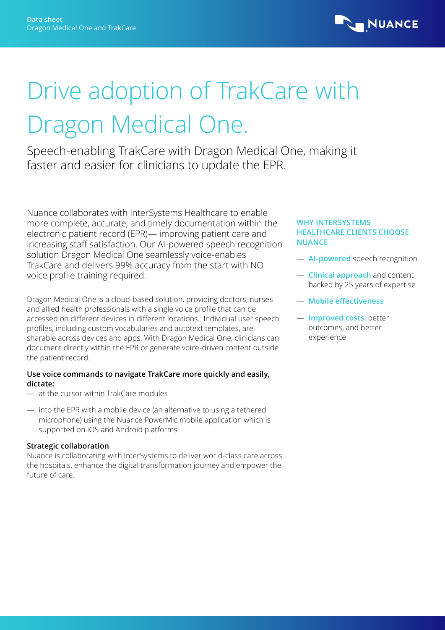

# Drive adoption of TrakCare with Dragon Medical One.

Speech-enabling TrakCare with Dragon Medical One, making it faster and easier for clinicians to update the EPR.

Nuance collaborates with InterSystems Healthcare to enable more complete, accurate, and timely documentation within the electronic patient record (EPR)— improving patient care and increasing staff satisfaction. Our AI-powered speech recognition solution Dragon Medical One seamlessly voice-enables TrakCare and delivers 99% accuracy from the start with NO voice profile training required.

Dragon Medical One is a cloud-based solution, providing doctors, nurses and allied health professionals with a single voice profile that can be accessed on different devices in different locations. Individual user speech profiles, including custom vocabularies and autotext templates, are sharable across devices and apps. With Dragon Medical One, clinicians can document directly within the EPR or generate voice-driven content outside the patient record.

# **Use voice commands to navigate TrakCare more quickly and easily, dictate:**

- at the cursor within TrakCare modules
- into the EPR with a mobile device (an alternative to using a tethered microphone) using the Nuance PowerMic mobile application which is supported on iOS and Android platforms

# **Strategic collaboration**

Nuance is collaborating with InterSystems to deliver world-class care across the hospitals, enhance the digital transformation journey and empower the future of care.

### **WHY INTERSYSTEMS HEALTHCARE CLIENTS CHOOSE NUANCE**

- **AI-powered** speech recognition
- **Clinical approach** and content backed by 25 years of expertise
- **Mobile effectiveness**
- **Improved costs**, better outcomes, and better experience